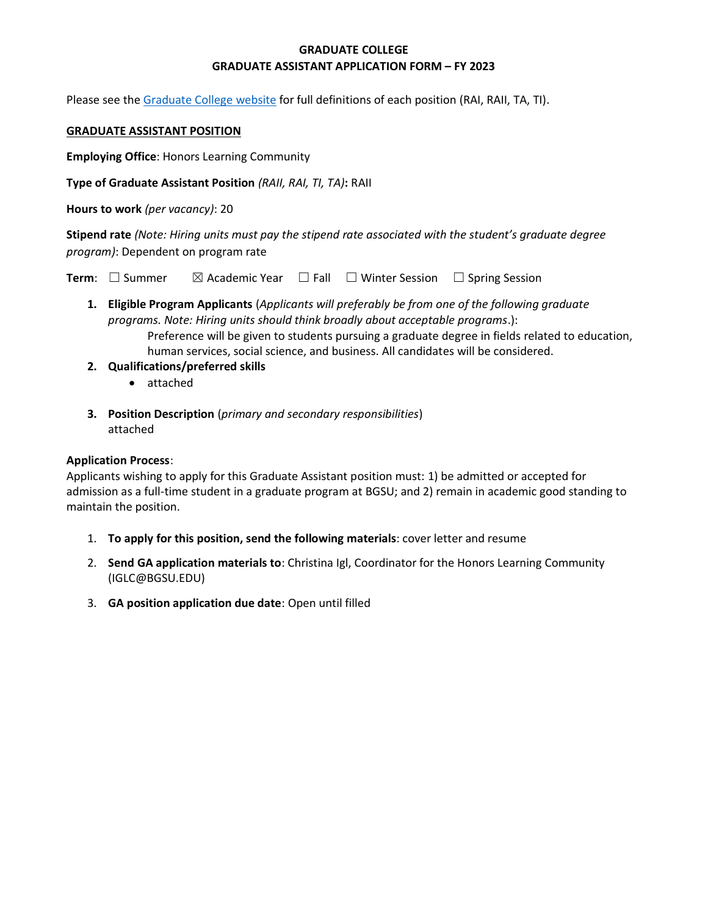## **GRADUATE COLLEGE GRADUATE ASSISTANT APPLICATION FORM – FY 2023**

Please see the [Graduate College website](https://www.bgsu.edu/content/dam/BGSU/graduate-college/doc/graduate-assistantship-policy/FINAL-Grad-Col-GA-guidelines-2020-21.pdf) for full definitions of each position (RAI, RAII, TA, TI).

#### **GRADUATE ASSISTANT POSITION**

**Employing Office**: Honors Learning Community

**Type of Graduate Assistant Position** *(RAII, RAI, TI, TA)***:** RAII

**Hours to work** *(per vacancy)*: 20

**Stipend rate** *(Note: Hiring units must pay the stipend rate associated with the student's graduate degree program)*: Dependent on program rate

**Term**:  $\Box$  Summer  $\Box$  Academic Year  $\Box$  Fall  $\Box$  Winter Session  $\Box$  Spring Session

**1. Eligible Program Applicants** (*Applicants will preferably be from one of the following graduate programs. Note: Hiring units should think broadly about acceptable programs*.): Preference will be given to students pursuing a graduate degree in fields related to education,

human services, social science, and business. All candidates will be considered.

- **2. Qualifications/preferred skills** 
	- attached
- **3. Position Description** (*primary and secondary responsibilities*) attached

#### **Application Process**:

Applicants wishing to apply for this Graduate Assistant position must: 1) be admitted or accepted for admission as a full-time student in a graduate program at BGSU; and 2) remain in academic good standing to maintain the position.

- 1. **To apply for this position, send the following materials**: cover letter and resume
- 2. **Send GA application materials to**: Christina Igl, Coordinator for the Honors Learning Community (IGLC@BGSU.EDU)
- 3. **GA position application due date**: Open until filled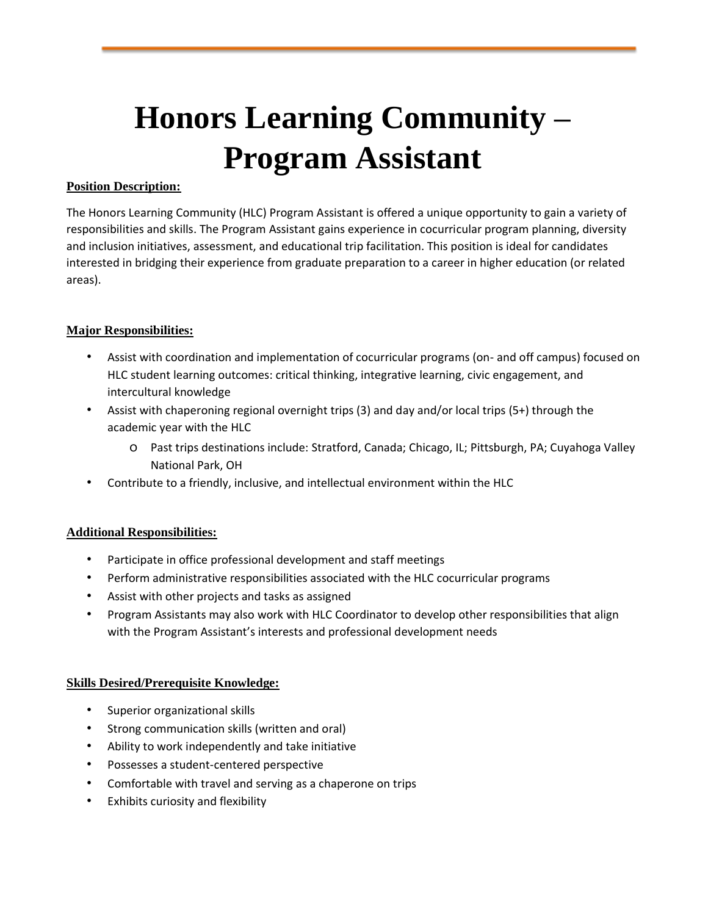# **Honors Learning Community – Program Assistant**

### **Position Description:**

The Honors Learning Community (HLC) Program Assistant is offered a unique opportunity to gain a variety of responsibilities and skills. The Program Assistant gains experience in cocurricular program planning, diversity and inclusion initiatives, assessment, and educational trip facilitation. This position is ideal for candidates interested in bridging their experience from graduate preparation to a career in higher education (or related areas).

## **Major Responsibilities:**

- Assist with coordination and implementation of cocurricular programs (on- and off campus) focused on HLC student learning outcomes: critical thinking, integrative learning, civic engagement, and intercultural knowledge
- Assist with chaperoning regional overnight trips (3) and day and/or local trips (5+) through the academic year with the HLC
	- o Past trips destinations include: Stratford, Canada; Chicago, IL; Pittsburgh, PA; Cuyahoga Valley National Park, OH
- Contribute to a friendly, inclusive, and intellectual environment within the HLC

#### **Additional Responsibilities:**

- Participate in office professional development and staff meetings
- Perform administrative responsibilities associated with the HLC cocurricular programs
- Assist with other projects and tasks as assigned
- Program Assistants may also work with HLC Coordinator to develop other responsibilities that align with the Program Assistant's interests and professional development needs

#### **Skills Desired/Prerequisite Knowledge:**

- Superior organizational skills
- Strong communication skills (written and oral)
- Ability to work independently and take initiative
- Possesses a student-centered perspective
- Comfortable with travel and serving as a chaperone on trips
- Exhibits curiosity and flexibility